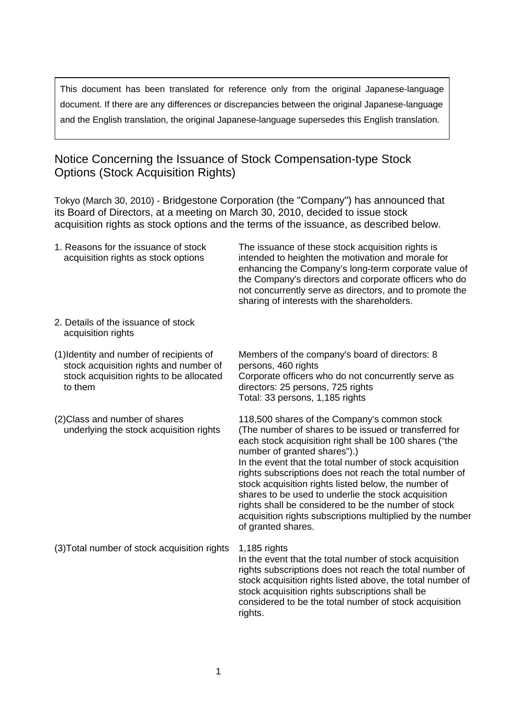This document has been translated for reference only from the original Japanese-language document. If there are any differences or discrepancies between the original Japanese-language and the English translation, the original Japanese-language supersedes this English translation.

## Notice Concerning the Issuance of Stock Compensation-type Stock Options (Stock Acquisition Rights)

Tokyo (March 30, 2010) - Bridgestone Corporation (the "Company") has announced that its Board of Directors, at a meeting on March 30, 2010, decided to issue stock acquisition rights as stock options and the terms of the issuance, as described below.

| 1. Reasons for the issuance of stock<br>acquisition rights as stock options                                                               | The issuance of these stock acquisition rights is<br>intended to heighten the motivation and morale for<br>enhancing the Company's long-term corporate value of<br>the Company's directors and corporate officers who do<br>not concurrently serve as directors, and to promote the<br>sharing of interests with the shareholders.                                                                                                                                                                                                                                              |
|-------------------------------------------------------------------------------------------------------------------------------------------|---------------------------------------------------------------------------------------------------------------------------------------------------------------------------------------------------------------------------------------------------------------------------------------------------------------------------------------------------------------------------------------------------------------------------------------------------------------------------------------------------------------------------------------------------------------------------------|
| 2. Details of the issuance of stock<br>acquisition rights                                                                                 |                                                                                                                                                                                                                                                                                                                                                                                                                                                                                                                                                                                 |
| (1) Identity and number of recipients of<br>stock acquisition rights and number of<br>stock acquisition rights to be allocated<br>to them | Members of the company's board of directors: 8<br>persons, 460 rights<br>Corporate officers who do not concurrently serve as<br>directors: 25 persons, 725 rights<br>Total: 33 persons, 1,185 rights                                                                                                                                                                                                                                                                                                                                                                            |
| (2) Class and number of shares<br>underlying the stock acquisition rights                                                                 | 118,500 shares of the Company's common stock<br>(The number of shares to be issued or transferred for<br>each stock acquisition right shall be 100 shares ("the<br>number of granted shares").)<br>In the event that the total number of stock acquisition<br>rights subscriptions does not reach the total number of<br>stock acquisition rights listed below, the number of<br>shares to be used to underlie the stock acquisition<br>rights shall be considered to be the number of stock<br>acquisition rights subscriptions multiplied by the number<br>of granted shares. |
| (3) Total number of stock acquisition rights                                                                                              | 1,185 rights<br>In the event that the total number of stock acquisition<br>rights subscriptions does not reach the total number of<br>stock acquisition rights listed above, the total number of<br>stock acquisition rights subscriptions shall be<br>considered to be the total number of stock acquisition<br>rights.                                                                                                                                                                                                                                                        |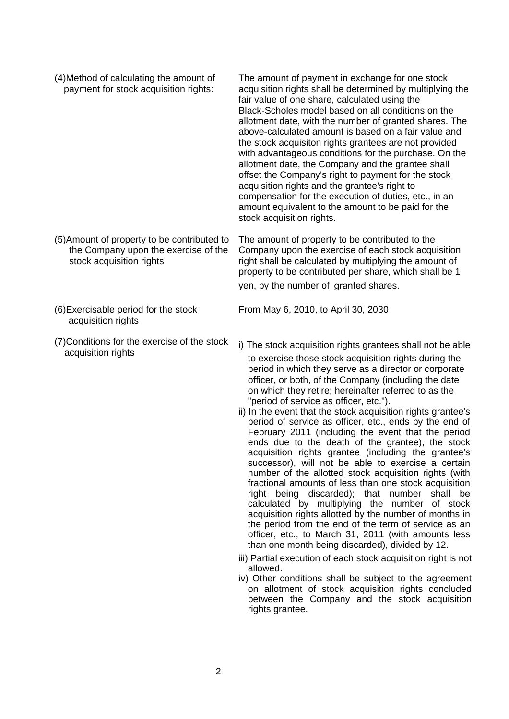- (4)Method of calculating the amount of payment for stock acquisition rights: The amount of payment in exchange for one stock acquisition rights shall be determined by multiplying the fair value of one share, calculated using the Black-Scholes model based on all conditions on the allotment date, with the number of granted shares. The above-calculated amount is based on a fair value and the stock acquisiton rights grantees are not provided with advantageous conditions for the purchase. On the allotment date, the Company and the grantee shall offset the Company's right to payment for the stock acquisition rights and the grantee's right to compensation for the execution of duties, etc., in an amount equivalent to the amount to be paid for the stock acquisition rights. (5)Amount of property to be contributed to the Company upon the exercise of the stock acquisition rights The amount of property to be contributed to the Company upon the exercise of each stock acquisition right shall be calculated by multiplying the amount of property to be contributed per share, which shall be 1 yen, by the number of granted shares.
- (6)Exercisable period for the stock acquisition rights
- (7)Conditions for the exercise of the stock

From May 6, 2010, to April 30, 2030

- $\mu$  onditions for the exercise of the stock i) The stock acquisition rights grantees shall not be able acquisition rights grantees shall not be able to exercise those stock acquisition rights during the period in which they serve as a director or corporate officer, or both, of the Company (including the date on which they retire; hereinafter referred to as the "period of service as officer, etc.").
	- ii) In the event that the stock acquisition rights grantee's period of service as officer, etc., ends by the end of February 2011 (including the event that the period ends due to the death of the grantee), the stock acquisition rights grantee (including the grantee's successor), will not be able to exercise a certain number of the allotted stock acquisition rights (with fractional amounts of less than one stock acquisition right being discarded); that number shall be calculated by multiplying the number of stock acquisition rights allotted by the number of months in the period from the end of the term of service as an officer, etc., to March 31, 2011 (with amounts less than one month being discarded), divided by 12.
	- iii) Partial execution of each stock acquisition right is not allowed.
	- iv) Other conditions shall be subject to the agreement on allotment of stock acquisition rights concluded between the Company and the stock acquisition rights grantee.